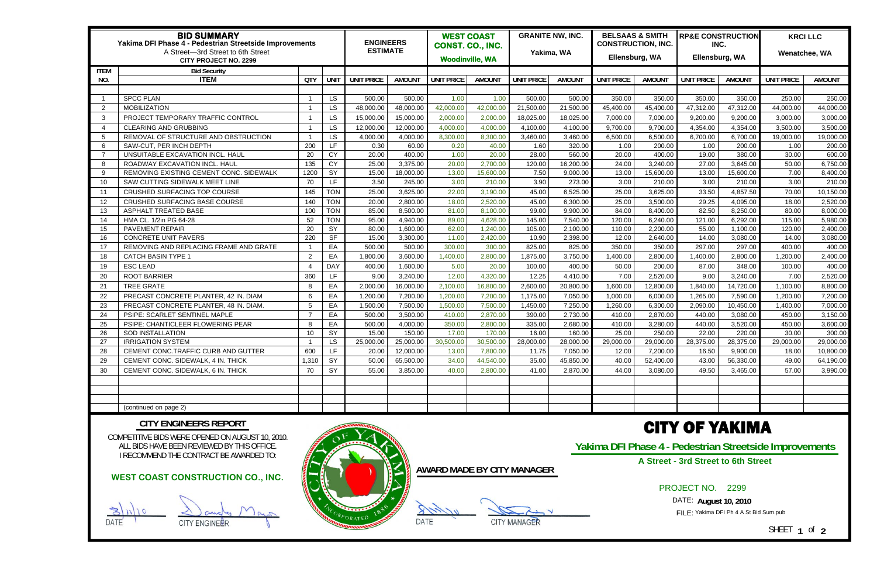| <b>BID SUMMARY</b><br>Yakima DFI Phase 4 - Pedestrian Streetside Improvements<br>A Street-3rd Street to 6th Street<br><b>CITY PROJECT NO. 2299</b> |                                         |                |            | <b>ENGINEERS</b><br><b>ESTIMATE</b> |               | <b>WEST COAST</b><br>CONST. CO., INC.<br><b>Woodinville, WA</b> |               | <b>GRANITE NW, INC.</b><br>Yakima, WA |               | <b>BELSAAS &amp; SMITH</b><br><b>CONSTRUCTION, INC.</b><br>Ellensburg, WA |               | <b>RP&amp;E CONSTRUCTION</b><br>INC.<br>Ellensburg, WA |               | <b>KRCI LLC</b><br>Wenatchee, WA |               |
|----------------------------------------------------------------------------------------------------------------------------------------------------|-----------------------------------------|----------------|------------|-------------------------------------|---------------|-----------------------------------------------------------------|---------------|---------------------------------------|---------------|---------------------------------------------------------------------------|---------------|--------------------------------------------------------|---------------|----------------------------------|---------------|
| <b>ITEM</b><br><b>Bid Security</b>                                                                                                                 |                                         |                |            |                                     |               |                                                                 |               |                                       |               |                                                                           |               |                                                        |               |                                  |               |
| NO.                                                                                                                                                | <b>ITEM</b>                             | <b>QTY</b>     | UNIT       | <b>UNIT PRICE</b>                   | <b>AMOUNT</b> | <b>UNIT PRICE</b>                                               | <b>AMOUNT</b> | <b>UNIT PRICE</b>                     | <b>AMOUNT</b> | <b>UNIT PRICE</b>                                                         | <b>AMOUN1</b> | <b>UNIT PRICE</b>                                      | <b>AMOUN1</b> | <b>UNIT PRICE</b>                | <b>AMOUNT</b> |
|                                                                                                                                                    |                                         |                |            |                                     |               |                                                                 |               |                                       |               |                                                                           |               |                                                        |               |                                  |               |
|                                                                                                                                                    | <b>SPCC PLAN</b>                        |                | LS.        | 500.00                              | 500.00        | 1.00                                                            | 1.00          | 500.00                                | 500.00        | 350.00                                                                    | 350.00        | 350.00                                                 | 350.00        | 250.00                           | 250.00        |
| $\overline{2}$                                                                                                                                     | <b>MOBILIZATION</b>                     |                | LS         | 48,000.00                           | 48,000.00     | 42,000.00                                                       | 42,000.00     | 21,500.00                             | 21,500.00     | 45,400.00                                                                 | 45,400.00     | 47,312.00                                              | 47,312.00     | 44,000.00                        | 44,000.00     |
| 3                                                                                                                                                  | PROJECT TEMPORARY TRAFFIC CONTROL       |                | <b>LS</b>  | 15,000.00                           | 15,000.00     | 2,000.00                                                        | 2,000.00      | 18,025.00                             | 18,025.00     | 7,000.00                                                                  | 7,000.00      | 9,200.00                                               | 9,200.00      | 3,000.00                         | 3,000.00      |
| $\overline{\mathcal{L}}$                                                                                                                           | <b>CLEARING AND GRUBBING</b>            |                | LS         | 12,000.00                           | 12,000.00     | 4,000.00                                                        | 4,000.00      | 4,100.00                              | 4,100.00      | 9,700.00                                                                  | 9,700.00      | 4,354.00                                               | 4,354.00      | 3,500.00                         | 3,500.00      |
| 5                                                                                                                                                  | REMOVAL OF STRUCTURE AND OBSTRUCTION    |                | LS.        | 4,000.00                            | 4,000.00      | 8,300.00                                                        | 8,300.00      | 3,460.00                              | 3,460.00      | 6,500.00                                                                  | 6,500.00      | 6,700.00                                               | 6,700.00      | 19,000.00                        | 19,000.00     |
| 6                                                                                                                                                  | SAW-CUT, PER INCH DEPTH                 | 200            | LF.        | 0.30                                | 60.00         | 0.20                                                            | 40.00         | 1.60                                  | 320.00        | 1.00                                                                      | 200.00        | 1.00                                                   | 200.00        | 1.00                             | 200.00        |
| - 7                                                                                                                                                | UNSUITABLE EXCAVATION INCL. HAUL        | 20             | CY         | 20.00                               | 400.00        | 1.00                                                            | 20.00         | 28.00                                 | 560.00        | 20.00                                                                     | 400.00        | 19.00                                                  | 380.00        | 30.00                            | 600.00        |
| 8                                                                                                                                                  | ROADWAY EXCAVATION INCL. HAUL           | 135            | CY         | 25.00                               | 3,375.00      | 20.00                                                           | 2,700.00      | 120.00                                | 16,200.00     | 24.00                                                                     | 3,240.00      | 27.00                                                  | 3,645.00      | 50.00                            | 6,750.00      |
| 9                                                                                                                                                  | REMOVING EXISTING CEMENT CONC. SIDEWALK | 1200           | SY         | 15.00                               | 18,000.00     | 13.00                                                           | 15,600.00     | 7.50                                  | 9,000.00      | 13.00                                                                     | 15,600.00     | 13.00                                                  | 15,600.00     | 7.00                             | 8,400.00      |
| -10                                                                                                                                                | SAW CUTTING SIDEWALK MEET LINE          | 70             | LF.        | 3.50                                | 245.00        | 3.00                                                            | 210.00        | 3.90                                  | 273.00        | 3.00                                                                      | 210.00        | 3.00                                                   | 210.00        | 3.00                             | 210.00        |
| 11                                                                                                                                                 | CRUSHED SURFACING TOP COURSE            | 145            | <b>TON</b> | 25.00                               | 3,625.00      | 22.00                                                           | 3,190.00      | 45.00                                 | 6,525.00      | 25.00                                                                     | 3,625.00      | 33.50                                                  | 4,857.50      | 70.00                            | 10,150.00     |
| -12                                                                                                                                                | CRUSHED SURFACING BASE COURSE           | 140            | <b>TON</b> | 20.00                               | 2,800.00      | 18.00                                                           | 2,520.00      | 45.00                                 | 6,300.00      | 25.00                                                                     | 3,500.00      | 29.25                                                  | 4,095.00      | 18.00                            | 2,520.00      |
| 13                                                                                                                                                 | ASPHALT TREATED BASE                    | 100            | <b>TON</b> | 85.00                               | 8,500.00      | 81.00                                                           | 8,100.00      | 99.00                                 | 9,900.00      | 84.00                                                                     | 8,400.00      | 82.50                                                  | 8,250.00      | 80.00                            | 8,000.00      |
| -14                                                                                                                                                | HMA CL. 1/2in PG 64-28                  | 52             | <b>TON</b> | 95.00                               | 4,940.00      | 89.00                                                           | 4,628.00      | 145.00                                | 7,540.00      | 120.00                                                                    | 6,240.00      | 121.00                                                 | 6,292.00      | 115.00                           | 5,980.00      |
| 15                                                                                                                                                 | PAVEMENT REPAIR                         | 20             | SY         | 80.00                               | 1,600.00      | 62.00                                                           | 1,240.00      | 105.00                                | 2,100.00      | 110.00                                                                    | 2,200.00      | 55.00                                                  | 1,100.00      | 120.00                           | 2,400.00      |
| 16                                                                                                                                                 | <b>CONCRETE UNIT PAVERS</b>             | 220            | $S$ F      | 15.00                               | 3,300.00      | 11.00                                                           | 2,420.00      | 10.90                                 | 2,398.00      | 12.00                                                                     | 2,640.00      | 14.00                                                  | 3,080.00      | 14.00                            | 3,080.00      |
| -17                                                                                                                                                | REMOVING AND REPLACING FRAME AND GRATE  |                | EA         | 500.00                              | 500.00        | 300.00                                                          | 300.00        | 825.00                                | 825.00        | 350.00                                                                    | 350.00        | 297.00                                                 | 297.00        | 400.00                           | 400.00        |
| 18                                                                                                                                                 | <b>CATCH BASIN TYPE 1</b>               | $\mathcal{P}$  | EA         | 1,800.00                            | 3,600.00      | 1,400.00                                                        | 2,800.00      | 1,875.00                              | 3,750.00      | 1,400.00                                                                  | 2,800.00      | ,400.00                                                | 2,800.00      | 1,200.00                         | 2,400.00      |
| 19                                                                                                                                                 | <b>ESC LEAD</b>                         |                | <b>DAY</b> | 400.00                              | 1,600.00      | 5.00                                                            | 20.00         | 100.00                                | 400.00        | 50.00                                                                     | 200.00        | 87.00                                                  | 348.00        | 100.00                           | 400.00        |
| 20                                                                                                                                                 | <b>ROOT BARRIER</b>                     | 360            | LF.        | 9.00                                | 3,240.00      | 12.00                                                           | 4,320.00      | 12.25                                 | 4,410.00      | 7.00                                                                      | 2,520.00      | 9.00                                                   | 3,240.00      | 7.00                             | 2,520.00      |
| 21                                                                                                                                                 | <b>TREE GRATE</b>                       | -8             | EA         | 2,000.00                            | 16,000.00     | 2,100.00                                                        | 16,800.00     | 2,600.00                              | 20,800.00     | 1,600.00                                                                  | 12,800.00     | 1,840.00                                               | 14,720.00     | 1,100.00                         | 8,800.00      |
| 22                                                                                                                                                 | PRECAST CONCRETE PLANTER, 42 IN. DIAM   |                | EA         | 1,200.00                            | 7,200.00      | 1,200.00                                                        | 7,200.00      | 1,175.00                              | 7,050.00      | 1,000.00                                                                  | 6,000.00      | 1,265.00                                               | 7,590.00      | 1,200.00                         | 7,200.00      |
| 23                                                                                                                                                 | PRECAST CONCRETE PLANTER, 48 IN. DIAM.  | $\overline{5}$ | EA         | 1,500.00                            | 7,500.00      | 1,500.00                                                        | 7,500.00      | 1,450.00                              | 7,250.00      | 1,260.00                                                                  | 6,300.00      | 2,090.00                                               | 10,450.00     | 1,400.00                         | 7,000.00      |
| 24                                                                                                                                                 | PSIPE: SCARLET SENTINEL MAPLE           | $\overline{7}$ | EA         | 500.00                              | 3,500.00      | 410.00                                                          | 2,870.00      | 390.00                                | 2,730.00      | 410.00                                                                    | 2,870.00      | 440.00                                                 | 3,080.00      | 450.00                           | 3,150.00      |
| 25                                                                                                                                                 | PSIPE: CHANTICLEER FLOWERING PEAR       |                | EA         | 500.00                              | 4,000.00      | 350.00                                                          | 2,800.00      | 335.00                                | 2,680.00      | 410.00                                                                    | 3,280.00      | 440.00                                                 | 3,520.00      | 450.00                           | 3,600.00      |
| 26                                                                                                                                                 | SOD INSTALLATION                        | 10             | SY         | 15.00                               | 150.00        | 17.00                                                           | 170.00        | 16.00                                 | 160.00        | 25.00                                                                     | 250.00        | 22.00                                                  | 220.00        | 30.00                            | 300.00        |
| 27                                                                                                                                                 | <b>IRRIGATION SYSTEM</b>                |                | LS         | 25,000.00                           | 25,000.00     | 30,500.00                                                       | 30,500.00     | 28,000.00                             | 28,000.00     | 29,000.00                                                                 | 29,000.00     | 28,375.00                                              | 28,375.00     | 29,000.00                        | 29,000.00     |
| 28                                                                                                                                                 | CEMENT CONC.TRAFFIC CURB AND GUTTER     | 600            | LF.        | 20.00                               | 12,000.00     | 13.00                                                           | 7,800.00      | 11.75                                 | 7,050.00      | 12.00                                                                     | 7,200.00      | 16.50                                                  | 9,900.00      | 18.00                            | 10,800.00     |
| 29                                                                                                                                                 | CEMENT CONC. SIDEWALK, 4 IN. THICK      | 1,310          | SY         | 50.00                               | 65,500.00     | 34.00                                                           | 44,540.00     | 35.00                                 | 45,850.00     | 40.00                                                                     | 52,400.00     | 43.00                                                  | 56,330.00     | 49.00                            | 64,190.00     |
| 30                                                                                                                                                 | CEMENT CONC. SIDEWALK, 6 IN. THICK      | 70             | SY         | 55.00                               | 3,850.00      | 40.00                                                           | 2,800.00      | 41.00                                 | 2,870.00      | 44.00                                                                     | 3,080.00      | 49.50                                                  | 3,465.00      | 57.00                            | 3,990.00      |
|                                                                                                                                                    |                                         |                |            |                                     |               |                                                                 |               |                                       |               |                                                                           |               |                                                        |               |                                  |               |
|                                                                                                                                                    |                                         |                |            |                                     |               |                                                                 |               |                                       |               |                                                                           |               |                                                        |               |                                  |               |
|                                                                                                                                                    |                                         |                |            |                                     |               |                                                                 |               |                                       |               |                                                                           |               |                                                        |               |                                  |               |
|                                                                                                                                                    | (continued on page 2)                   |                |            |                                     |               |                                                                 |               |                                       |               |                                                                           |               |                                                        |               |                                  |               |

COMPETITIVE BIDS WERE OPENED ON AUGUST 10, 2010. ALL BIDS HAVE BEEN REVIEWED BY THIS OFFICE. I RECOMMEND THE CONTRACT BE AWARDED TO:

### **CITY ENGINEERS REPORT**



DATE CITY MANAGER

# CITY OF YAKIMA

**Yakima DFI Phase 4 - Pedestrian Streetside Improvements** 

# PROJECT NO. 2299

DATE: **August 10, 2010** 

FILE: Yakima DFI Ph 4 A St Bid Sum.pub

SHEET **1** of **2**

**WEST COAST CONSTRUCTION CO., INC.** 

DATE I CITY ENGINEER

## **A Street - 3rd Street to 6th Street**